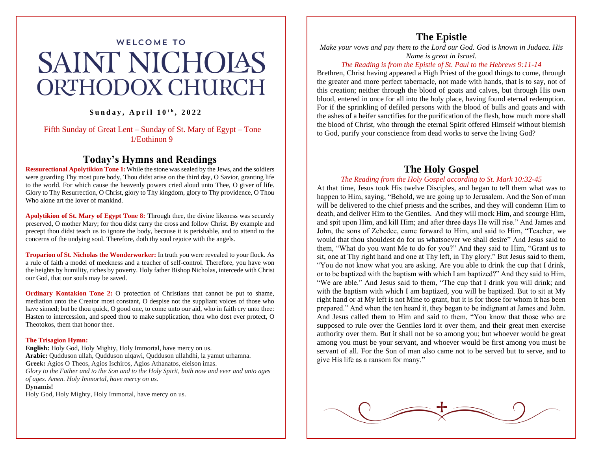# **WELCOME TO SAINT NICHOIAS ORTHODOX CHURCH**

 $Sumday, April 10<sup>th</sup>, 2022$ 

Fifth Sunday of Great Lent – Sunday of St. Mary of Egypt – Tone 1/Eothinon 9

## **Today's Hymns and Readings**

**Ressurectional Apolytikion Tone 1:** While the stone was sealed by the Jews, and the soldiers were guarding Thy most pure body, Thou didst arise on the third day, O Savior, granting life to the world. For which cause the heavenly powers cried aloud unto Thee, O giver of life. Glory to Thy Resurrection, O Christ, glory to Thy kingdom, glory to Thy providence, O Thou Who alone art the lover of mankind.

**Apolytikion of St. Mary of Egypt Tone 8:** Through thee, the divine likeness was securely preserved, O mother Mary; for thou didst carry the cross and follow Christ. By example and precept thou didst teach us to ignore the body, because it is perishable, and to attend to the concerns of the undying soul. Therefore, doth thy soul rejoice with the angels.

**Troparion of St. Nicholas the Wonderworker:** In truth you were revealed to your flock. As a rule of faith a model of meekness and a teacher of self-control. Therefore, you have won the heights by humility, riches by poverty. Holy father Bishop Nicholas, intercede with Christ our God, that our souls may be saved.

**Ordinary Kontakion Tone 2:** O protection of Christians that cannot be put to shame, mediation unto the Creator most constant, O despise not the suppliant voices of those who have sinned; but be thou quick, O good one, to come unto our aid, who in faith cry unto thee: Hasten to intercession, and speed thou to make supplication, thou who dost ever protect, O Theotokos, them that honor thee.

#### **The Trisagion Hymn:**

**English:** Holy God, Holy Mighty, Holy Immortal, have mercy on us. **Arabic:** Qudduson ullah, Qudduson ulqawi, Qudduson ullahdhi, la yamut urhamna. **Greek:** Agios O Theos, Agios Ischiros, Agios Athanatos, eleison imas. *Glory to the Father and to the Son and to the Holy Spirit, both now and ever and unto ages of ages. Amen. Holy Immortal, have mercy on us.*

#### **Dynamis!**

Holy God, Holy Mighty, Holy Immortal, have mercy on us.

## **The Epistle**

*Make your vows and pay them to the Lord our God. God is known in Judaea. His Name is great in Israel.*

#### *The Reading is from the Epistle of St. Paul to the Hebrews 9:11-14*

Brethren, Christ having appeared a High Priest of the good things to come, through the greater and more perfect tabernacle, not made with hands, that is to say, not of this creation; neither through the blood of goats and calves, but through His own blood, entered in once for all into the holy place, having found eternal redemption. For if the sprinkling of defiled persons with the blood of bulls and goats and with the ashes of a heifer sanctifies for the purification of the flesh, how much more shall the blood of Christ, who through the eternal Spirit offered Himself without blemish to God, purify your conscience from dead works to serve the living God?

## **The Holy Gospel**

#### *The Reading from the Holy Gospel according to St. Mark 10:32-45*

At that time, Jesus took His twelve Disciples, and began to tell them what was to happen to Him, saying, "Behold, we are going up to Jerusalem. And the Son of man will be delivered to the chief priests and the scribes, and they will condemn Him to death, and deliver Him to the Gentiles. And they will mock Him, and scourge Him, and spit upon Him, and kill Him; and after three days He will rise." And James and John, the sons of Zebedee, came forward to Him, and said to Him, "Teacher, we would that thou shouldest do for us whatsoever we shall desire" And Jesus said to them, "What do you want Me to do for you?" And they said to Him, "Grant us to sit, one at Thy right hand and one at Thy left, in Thy glory." But Jesus said to them, "You do not know what you are asking. Are you able to drink the cup that I drink, or to be baptized with the baptism with which I am baptized?" And they said to Him, "We are able." And Jesus said to them, "The cup that I drink you will drink; and with the baptism with which I am baptized, you will be baptized. But to sit at My right hand or at My left is not Mine to grant, but it is for those for whom it has been prepared." And when the ten heard it, they began to be indignant at James and John. And Jesus called them to Him and said to them, "You know that those who are supposed to rule over the Gentiles lord it over them, and their great men exercise authority over them. But it shall not be so among you; but whoever would be great among you must be your servant, and whoever would be first among you must be servant of all. For the Son of man also came not to be served but to serve, and to give His life as a ransom for many."